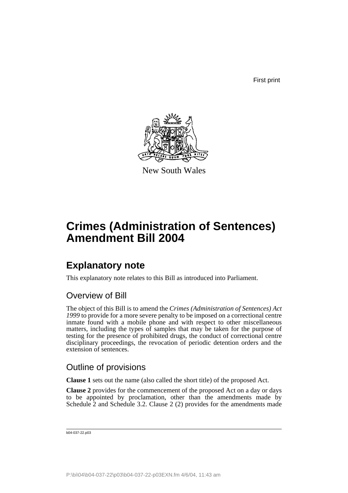First print



New South Wales

# **Crimes (Administration of Sentences) Amendment Bill 2004**

# **Explanatory note**

This explanatory note relates to this Bill as introduced into Parliament.

## Overview of Bill

The object of this Bill is to amend the *Crimes (Administration of Sentences) Act 1999* to provide for a more severe penalty to be imposed on a correctional centre inmate found with a mobile phone and with respect to other miscellaneous matters, including the types of samples that may be taken for the purpose of testing for the presence of prohibited drugs, the conduct of correctional centre disciplinary proceedings, the revocation of periodic detention orders and the extension of sentences.

### Outline of provisions

**Clause 1** sets out the name (also called the short title) of the proposed Act.

**Clause 2** provides for the commencement of the proposed Act on a day or days to be appointed by proclamation, other than the amendments made by Schedule  $\overline{2}$  and Schedule 3.2. Clause 2 (2) provides for the amendments made

```
b04-037-22.p03
```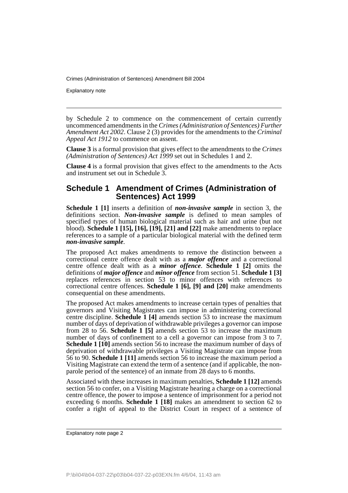Explanatory note

by Schedule 2 to commence on the commencement of certain currently uncommenced amendments in the *Crimes (Administration of Sentences) Further Amendment Act 2002*. Clause 2 (3) provides for the amendments to the *Criminal Appeal Act 1912* to commence on assent.

**Clause 3** is a formal provision that gives effect to the amendments to the *Crimes (Administration of Sentences) Act 1999* set out in Schedules 1 and 2.

**Clause 4** is a formal provision that gives effect to the amendments to the Acts and instrument set out in Schedule 3.

### **Schedule 1 Amendment of Crimes (Administration of Sentences) Act 1999**

**Schedule 1 [1]** inserts a definition of *non-invasive sample* in section 3, the definitions section. *Non-invasive sample* is defined to mean samples of specified types of human biological material such as hair and urine (but not blood). **Schedule 1 [15], [16], [19], [21] and [22]** make amendments to replace references to a sample of a particular biological material with the defined term *non-invasive sample*.

The proposed Act makes amendments to remove the distinction between a correctional centre offence dealt with as a *major offence* and a correctional centre offence dealt with as a *minor offence*. **Schedule 1 [2]** omits the definitions of *major offence* and *minor offence* from section 51. **Schedule 1 [3]** replaces references in section 53 to minor offences with references to correctional centre offences. **Schedule 1 [6], [9] and [20]** make amendments consequential on these amendments.

The proposed Act makes amendments to increase certain types of penalties that governors and Visiting Magistrates can impose in administering correctional centre discipline. **Schedule 1 [4]** amends section 53 to increase the maximum number of days of deprivation of withdrawable privileges a governor can impose from 28 to 56. **Schedule 1 [5]** amends section 53 to increase the maximum number of days of confinement to a cell a governor can impose from 3 to 7. **Schedule 1 [10]** amends section 56 to increase the maximum number of days of deprivation of withdrawable privileges a Visiting Magistrate can impose from 56 to 90. **Schedule 1 [11]** amends section 56 to increase the maximum period a Visiting Magistrate can extend the term of a sentence (and if applicable, the nonparole period of the sentence) of an inmate from 28 days to 6 months.

Associated with these increases in maximum penalties, **Schedule 1 [12]** amends section 56 to confer, on a Visiting Magistrate hearing a charge on a correctional centre offence, the power to impose a sentence of imprisonment for a period not exceeding 6 months. **Schedule 1 [18]** makes an amendment to section 62 to confer a right of appeal to the District Court in respect of a sentence of

Explanatory note page 2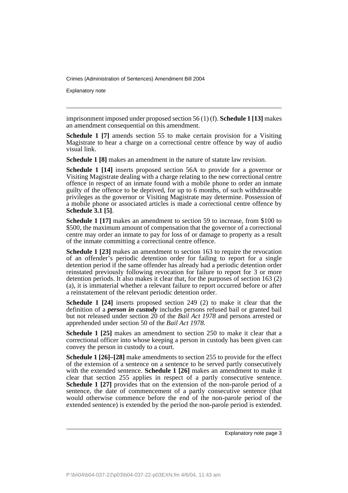Explanatory note

imprisonment imposed under proposed section 56 (1) (f). **Schedule 1 [13]** makes an amendment consequential on this amendment.

**Schedule 1 [7]** amends section 55 to make certain provision for a Visiting Magistrate to hear a charge on a correctional centre offence by way of audio visual link.

**Schedule 1 [8]** makes an amendment in the nature of statute law revision.

**Schedule 1 [14]** inserts proposed section 56A to provide for a governor or Visiting Magistrate dealing with a charge relating to the new correctional centre offence in respect of an inmate found with a mobile phone to order an inmate guilty of the offence to be deprived, for up to 6 months, of such withdrawable privileges as the governor or Visiting Magistrate may determine. Possession of a mobile phone or associated articles is made a correctional centre offence by **Schedule 3.1 [5]**.

**Schedule 1 [17]** makes an amendment to section 59 to increase, from \$100 to \$500, the maximum amount of compensation that the governor of a correctional centre may order an inmate to pay for loss of or damage to property as a result of the inmate committing a correctional centre offence.

**Schedule 1 [23]** makes an amendment to section 163 to require the revocation of an offender's periodic detention order for failing to report for a single detention period if the same offender has already had a periodic detention order reinstated previously following revocation for failure to report for 3 or more detention periods. It also makes it clear that, for the purposes of section 163 (2) (a), it is immaterial whether a relevant failure to report occurred before or after a reinstatement of the relevant periodic detention order.

**Schedule 1 [24]** inserts proposed section 249 (2) to make it clear that the definition of a *person in custody* includes persons refused bail or granted bail but not released under section 20 of the *Bail Act 1978* and persons arrested or apprehended under section 50 of the *Bail Act 1978*.

**Schedule 1 [25]** makes an amendment to section 250 to make it clear that a correctional officer into whose keeping a person in custody has been given can convey the person in custody to a court.

**Schedule 1 [26]–[28]** make amendments to section 255 to provide for the effect of the extension of a sentence on a sentence to be served partly consecutively with the extended sentence. **Schedule 1 [26]** makes an amendment to make it clear that section 255 applies in respect of a partly consecutive sentence. **Schedule 1 [27]** provides that on the extension of the non-parole period of a sentence, the date of commencement of a partly consecutive sentence (that would otherwise commence before the end of the non-parole period of the extended sentence) is extended by the period the non-parole period is extended.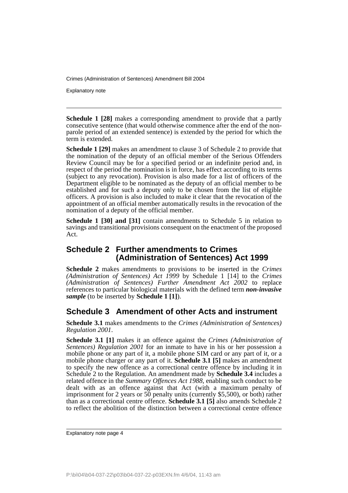Explanatory note

**Schedule 1 [28]** makes a corresponding amendment to provide that a partly consecutive sentence (that would otherwise commence after the end of the nonparole period of an extended sentence) is extended by the period for which the term is extended.

**Schedule 1 [29]** makes an amendment to clause 3 of Schedule 2 to provide that the nomination of the deputy of an official member of the Serious Offenders Review Council may be for a specified period or an indefinite period and, in respect of the period the nomination is in force, has effect according to its terms (subject to any revocation). Provision is also made for a list of officers of the Department eligible to be nominated as the deputy of an official member to be established and for such a deputy only to be chosen from the list of eligible officers. A provision is also included to make it clear that the revocation of the appointment of an official member automatically results in the revocation of the nomination of a deputy of the official member.

**Schedule 1 [30] and [31]** contain amendments to Schedule 5 in relation to savings and transitional provisions consequent on the enactment of the proposed Act.

### **Schedule 2 Further amendments to Crimes (Administration of Sentences) Act 1999**

**Schedule 2** makes amendments to provisions to be inserted in the *Crimes (Administration of Sentences) Act 1999* by Schedule 1 [14] to the *Crimes (Administration of Sentences) Further Amendment Act 2002* to replace references to particular biological materials with the defined term *non-invasive sample* (to be inserted by **Schedule 1 [1]**).

### **Schedule 3 Amendment of other Acts and instrument**

**Schedule 3.1** makes amendments to the *Crimes (Administration of Sentences) Regulation 2001*.

**Schedule 3.1 [1]** makes it an offence against the *Crimes (Administration of Sentences) Regulation 2001* for an inmate to have in his or her possession a mobile phone or any part of it, a mobile phone SIM card or any part of it, or a mobile phone charger or any part of it. **Schedule 3.1 [5]** makes an amendment to specify the new offence as a correctional centre offence by including it in Schedule 2 to the Regulation. An amendment made by **Schedule 3.4** includes a related offence in the *Summary Offences Act 1988*, enabling such conduct to be dealt with as an offence against that Act (with a maximum penalty of imprisonment for 2 years or 50 penalty units (currently \$5,500), or both) rather than as a correctional centre offence. **Schedule 3.1 [5]** also amends Schedule 2 to reflect the abolition of the distinction between a correctional centre offence

Explanatory note page 4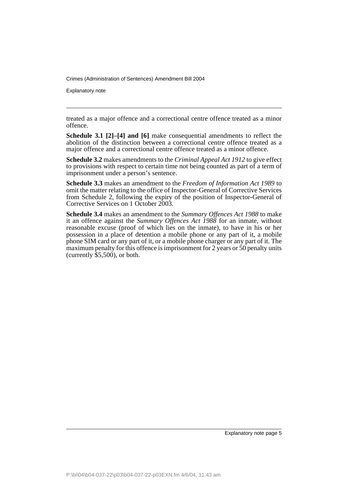Explanatory note

treated as a major offence and a correctional centre offence treated as a minor offence.

**Schedule 3.1 [2]–[4] and [6]** make consequential amendments to reflect the abolition of the distinction between a correctional centre offence treated as a major offence and a correctional centre offence treated as a minor offence.

**Schedule 3.2** makes amendments to the *Criminal Appeal Act 1912* to give effect to provisions with respect to certain time not being counted as part of a term of imprisonment under a person's sentence.

**Schedule 3.3** makes an amendment to the *Freedom of Information Act 1989* to omit the matter relating to the office of Inspector-General of Corrective Services from Schedule 2, following the expiry of the position of Inspector-General of Corrective Services on 1 October 2003.

**Schedule 3.4** makes an amendment to the *Summary Offences Act 1988* to make it an offence against the *Summary Offences Act 1988* for an inmate, without reasonable excuse (proof of which lies on the inmate), to have in his or her possession in a place of detention a mobile phone or any part of it, a mobile phone SIM card or any part of it, or a mobile phone charger or any part of it. The maximum penalty for this offence is imprisonment for 2 years or 50 penalty units (currently \$5,500), or both.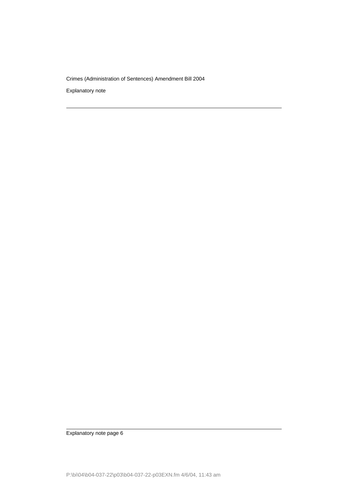Explanatory note

Explanatory note page 6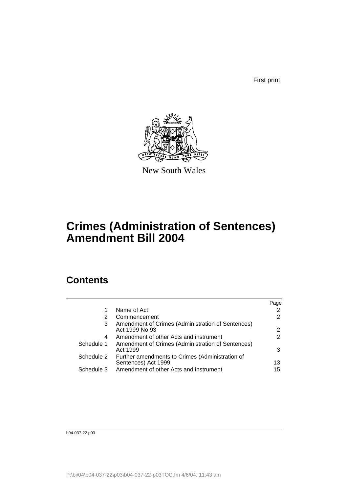First print



New South Wales

# **Crimes (Administration of Sentences) Amendment Bill 2004**

# **Contents**

|            |                                                                        | Page |
|------------|------------------------------------------------------------------------|------|
| 1          | Name of Act                                                            |      |
| 2          | Commencement                                                           | 2    |
| 3          | Amendment of Crimes (Administration of Sentences)<br>Act 1999 No 93    | 2    |
| 4          | Amendment of other Acts and instrument                                 | 2    |
| Schedule 1 | Amendment of Crimes (Administration of Sentences)<br>Act 1999          | 3    |
| Schedule 2 | Further amendments to Crimes (Administration of<br>Sentences) Act 1999 | 13   |
| Schedule 3 | Amendment of other Acts and instrument                                 | 15   |
|            |                                                                        |      |

b04-037-22.p03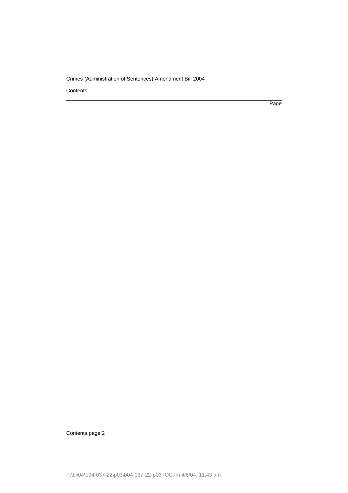**Contents** 

Page

Contents page 2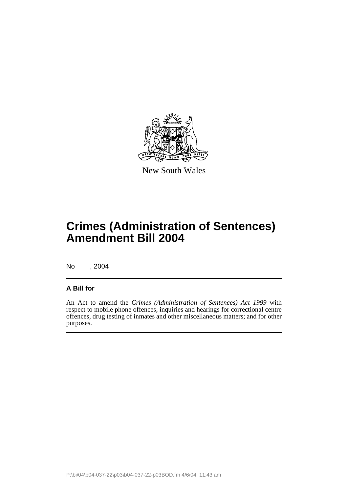

New South Wales

# **Crimes (Administration of Sentences) Amendment Bill 2004**

No , 2004

#### **A Bill for**

An Act to amend the *Crimes (Administration of Sentences) Act 1999* with respect to mobile phone offences, inquiries and hearings for correctional centre offences, drug testing of inmates and other miscellaneous matters; and for other purposes.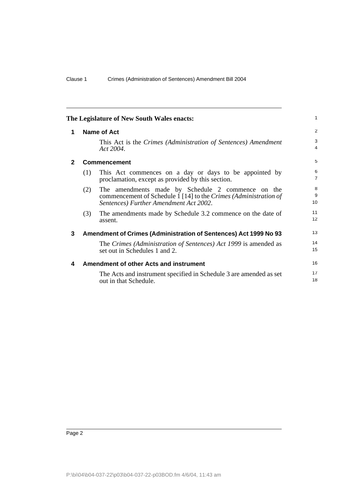|              | The Legislature of New South Wales enacts:                                                                                                                             | 1                   |  |  |
|--------------|------------------------------------------------------------------------------------------------------------------------------------------------------------------------|---------------------|--|--|
| 1            | Name of Act                                                                                                                                                            |                     |  |  |
|              | This Act is the Crimes (Administration of Sentences) Amendment<br>Act 2004.                                                                                            | 3<br>$\overline{4}$ |  |  |
| $\mathbf{2}$ | <b>Commencement</b>                                                                                                                                                    | 5                   |  |  |
|              | This Act commences on a day or days to be appointed by<br>(1)<br>proclamation, except as provided by this section.                                                     | 6<br>$\overline{7}$ |  |  |
|              | The amendments made by Schedule 2 commence on the<br>(2)<br>commencement of Schedule 1 [14] to the Crimes (Administration of<br>Sentences) Further Amendment Act 2002. | 8<br>9<br>10        |  |  |
|              | The amendments made by Schedule 3.2 commence on the date of<br>(3)<br>assent.                                                                                          | 11<br>12            |  |  |
| 3            | Amendment of Crimes (Administration of Sentences) Act 1999 No 93                                                                                                       | 13                  |  |  |
|              | The Crimes (Administration of Sentences) Act 1999 is amended as<br>set out in Schedules 1 and 2.                                                                       | 14<br>15            |  |  |
| 4            | <b>Amendment of other Acts and instrument</b>                                                                                                                          | 16                  |  |  |
|              | The Acts and instrument specified in Schedule 3 are amended as set<br>out in that Schedule.                                                                            | 17<br>18            |  |  |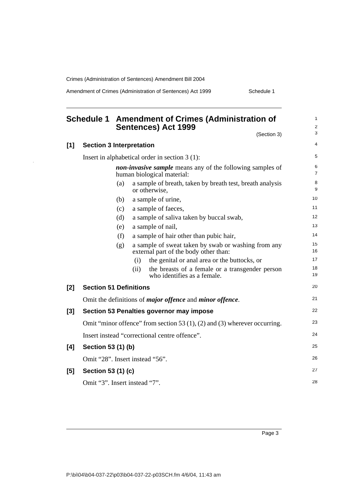Amendment of Crimes (Administration of Sentences) Act 1999 Schedule 1

|                     |                                 | Schedule 1 Amendment of Crimes (Administration of<br><b>Sentences) Act 1999</b> |                                                                                              | 1<br>$\overline{\mathbf{c}}$ |
|---------------------|---------------------------------|---------------------------------------------------------------------------------|----------------------------------------------------------------------------------------------|------------------------------|
|                     |                                 |                                                                                 | (Section 3)                                                                                  | 3                            |
| [1]                 | <b>Section 3 Interpretation</b> |                                                                                 |                                                                                              | 4                            |
|                     |                                 |                                                                                 | Insert in alphabetical order in section $3(1)$ :                                             | 5                            |
|                     |                                 |                                                                                 | non-invasive sample means any of the following samples of<br>human biological material:      | 6<br>$\overline{7}$          |
|                     |                                 | (a)                                                                             | a sample of breath, taken by breath test, breath analysis<br>or otherwise,                   | 8<br>9                       |
|                     |                                 | (b)                                                                             | a sample of urine,                                                                           | 10                           |
|                     |                                 | (c)                                                                             | a sample of faeces,                                                                          | 11                           |
|                     |                                 | (d)                                                                             | a sample of saliva taken by buccal swab,                                                     | 12                           |
|                     |                                 | (e)                                                                             | a sample of nail,                                                                            | 13                           |
|                     |                                 | (f)                                                                             | a sample of hair other than pubic hair,                                                      | 14                           |
|                     |                                 | (g)                                                                             | a sample of sweat taken by swab or washing from any<br>external part of the body other than: | 15<br>16                     |
|                     |                                 |                                                                                 | the genital or anal area or the buttocks, or<br>(i)                                          | 17                           |
|                     |                                 |                                                                                 | the breasts of a female or a transgender person<br>(ii)<br>who identifies as a female.       | 18<br>19                     |
| [2]                 | <b>Section 51 Definitions</b>   |                                                                                 |                                                                                              | 20                           |
|                     |                                 |                                                                                 | Omit the definitions of <i>major offence</i> and <i>minor offence</i> .                      | 21                           |
| $\lbrack 3 \rbrack$ |                                 |                                                                                 | Section 53 Penalties governor may impose                                                     | 22                           |
|                     |                                 |                                                                                 | Omit "minor offence" from section 53 $(1)$ , $(2)$ and $(3)$ wherever occurring.             | 23                           |
|                     |                                 |                                                                                 | Insert instead "correctional centre offence".                                                | 24                           |
| [4]                 | Section 53 (1) (b)              |                                                                                 |                                                                                              | 25                           |
|                     |                                 |                                                                                 | Omit "28". Insert instead "56".                                                              | 26                           |
| [5]                 | Section 53 (1) (c)              |                                                                                 |                                                                                              | 27                           |
|                     |                                 |                                                                                 | Omit "3". Insert instead "7".                                                                | 28                           |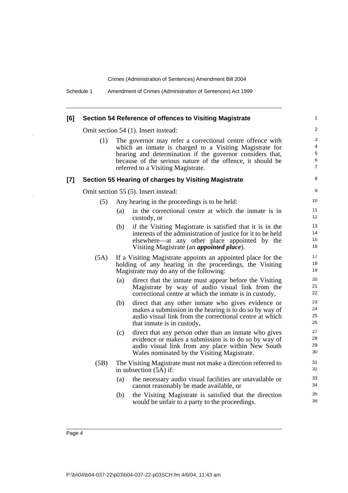| [6]   |      | Section 54 Reference of offences to Visiting Magistrate                                                                                                                                                                                                                               | 1                                  |
|-------|------|---------------------------------------------------------------------------------------------------------------------------------------------------------------------------------------------------------------------------------------------------------------------------------------|------------------------------------|
|       |      | Omit section 54 (1). Insert instead:                                                                                                                                                                                                                                                  | $\overline{a}$                     |
|       | (1)  | The governor may refer a correctional centre offence with<br>which an inmate is charged to a Visiting Magistrate for<br>hearing and determination if the governor considers that,<br>because of the serious nature of the offence, it should be<br>referred to a Visiting Magistrate. | 3<br>4<br>5<br>6<br>$\overline{7}$ |
| $[7]$ |      | Section 55 Hearing of charges by Visiting Magistrate                                                                                                                                                                                                                                  | 8                                  |
|       |      | Omit section 55 (5). Insert instead:                                                                                                                                                                                                                                                  | 9                                  |
|       | (5)  | Any hearing in the proceedings is to be held:                                                                                                                                                                                                                                         | 10                                 |
|       |      | in the correctional centre at which the inmate is in<br>(a)<br>custody, or                                                                                                                                                                                                            | 11<br>12                           |
|       |      | if the Visiting Magistrate is satisfied that it is in the<br>(b)<br>interests of the administration of justice for it to be held<br>elsewhere—at any other place appointed by the<br>Visiting Magistrate (an <i>appointed place</i> ).                                                | 13<br>14<br>15<br>16               |
|       | (5A) | If a Visiting Magistrate appoints an appointed place for the<br>holding of any hearing in the proceedings, the Visiting<br>Magistrate may do any of the following:                                                                                                                    | 17<br>18<br>19                     |
|       |      | (a)<br>direct that the inmate must appear before the Visiting<br>Magistrate by way of audio visual link from the<br>correctional centre at which the inmate is in custody,                                                                                                            | 20<br>21<br>22                     |
|       |      | direct that any other inmate who gives evidence or<br>(b)<br>makes a submission in the hearing is to do so by way of<br>audio visual link from the correctional centre at which<br>that inmate is in custody,                                                                         | 23<br>24<br>25<br>26               |
|       |      | (c)<br>direct that any person other than an inmate who gives<br>evidence or makes a submission is to do so by way of<br>audio visual link from any place within New South<br>Wales nominated by the Visiting Magistrate.                                                              | 27<br>28<br>29<br>30               |
|       | (5B) | The Visiting Magistrate must not make a direction referred to<br>in subsection (5A) if:                                                                                                                                                                                               | 31<br>32                           |
|       |      | (a)<br>the necessary audio visual facilities are unavailable or<br>cannot reasonably be made available, or                                                                                                                                                                            | 33<br>34                           |
|       |      | the Visiting Magistrate is satisfied that the direction<br>(b)<br>would be unfair to a party to the proceedings.                                                                                                                                                                      | 35<br>36                           |

Page 4

J.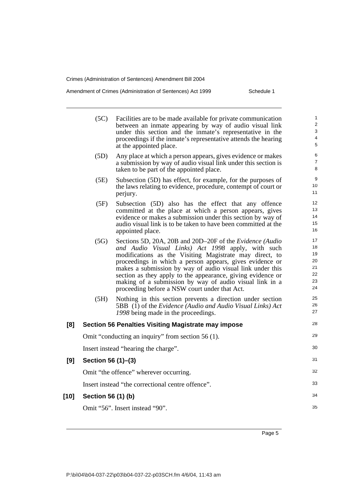#### Amendment of Crimes (Administration of Sentences) Act 1999 Schedule 1

|        | (5C)               | Facilities are to be made available for private communication<br>between an inmate appearing by way of audio visual link<br>under this section and the inmate's representative in the<br>proceedings if the inmate's representative attends the hearing<br>at the appointed place.                                                                                                                                                                                                  | 1<br>$\overline{2}$<br>3<br>$\overline{\mathbf{4}}$<br>5 |
|--------|--------------------|-------------------------------------------------------------------------------------------------------------------------------------------------------------------------------------------------------------------------------------------------------------------------------------------------------------------------------------------------------------------------------------------------------------------------------------------------------------------------------------|----------------------------------------------------------|
|        | (5D)               | Any place at which a person appears, gives evidence or makes<br>a submission by way of audio visual link under this section is<br>taken to be part of the appointed place.                                                                                                                                                                                                                                                                                                          | 6<br>$\overline{7}$<br>8                                 |
|        | (5E)               | Subsection (5D) has effect, for example, for the purposes of<br>the laws relating to evidence, procedure, contempt of court or<br>perjury.                                                                                                                                                                                                                                                                                                                                          | 9<br>10<br>11                                            |
|        | (5F)               | Subsection (5D) also has the effect that any offence<br>committed at the place at which a person appears, gives<br>evidence or makes a submission under this section by way of<br>audio visual link is to be taken to have been committed at the<br>appointed place.                                                                                                                                                                                                                | 12<br>13<br>14<br>15<br>16                               |
|        | (5G)               | Sections 5D, 20A, 20B and 20D–20F of the <i>Evidence</i> (Audio<br>and Audio Visual Links) Act 1998 apply, with such<br>modifications as the Visiting Magistrate may direct, to<br>proceedings in which a person appears, gives evidence or<br>makes a submission by way of audio visual link under this<br>section as they apply to the appearance, giving evidence or<br>making of a submission by way of audio visual link in a<br>proceeding before a NSW court under that Act. | 17<br>18<br>19<br>20<br>21<br>22<br>23<br>24             |
|        | (5H)               | Nothing in this section prevents a direction under section<br>5BB (1) of the Evidence (Audio and Audio Visual Links) Act<br>1998 being made in the proceedings.                                                                                                                                                                                                                                                                                                                     | 25<br>26<br>27                                           |
| [8]    |                    | <b>Section 56 Penalties Visiting Magistrate may impose</b>                                                                                                                                                                                                                                                                                                                                                                                                                          | 28                                                       |
|        |                    | Omit "conducting an inquiry" from section 56 (1).                                                                                                                                                                                                                                                                                                                                                                                                                                   | 29                                                       |
|        |                    | Insert instead "hearing the charge".                                                                                                                                                                                                                                                                                                                                                                                                                                                | 30                                                       |
| [9]    | Section 56 (1)–(3) |                                                                                                                                                                                                                                                                                                                                                                                                                                                                                     | 31                                                       |
|        |                    | Omit "the offence" wherever occurring.                                                                                                                                                                                                                                                                                                                                                                                                                                              | 32                                                       |
|        |                    | Insert instead "the correctional centre offence".                                                                                                                                                                                                                                                                                                                                                                                                                                   | 33                                                       |
| $[10]$ | Section 56 (1) (b) |                                                                                                                                                                                                                                                                                                                                                                                                                                                                                     | 34                                                       |
|        |                    | Omit "56". Insert instead "90".                                                                                                                                                                                                                                                                                                                                                                                                                                                     | 35                                                       |
|        |                    |                                                                                                                                                                                                                                                                                                                                                                                                                                                                                     |                                                          |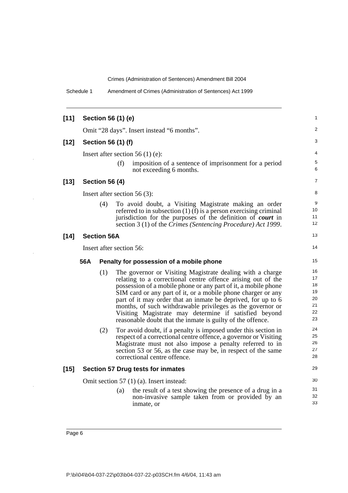Schedule 1 Amendment of Crimes (Administration of Sentences) Act 1999

| $[11]$ | Section 56 (1) (e)    |                                                                                                                                                                                                                                                                                                                                                                                                                                                                                                                  | 1                                            |
|--------|-----------------------|------------------------------------------------------------------------------------------------------------------------------------------------------------------------------------------------------------------------------------------------------------------------------------------------------------------------------------------------------------------------------------------------------------------------------------------------------------------------------------------------------------------|----------------------------------------------|
|        |                       | Omit "28 days". Insert instead "6 months".                                                                                                                                                                                                                                                                                                                                                                                                                                                                       | $\overline{c}$                               |
| $[12]$ | Section 56 (1) (f)    |                                                                                                                                                                                                                                                                                                                                                                                                                                                                                                                  | 3                                            |
|        |                       | Insert after section 56 $(1)$ (e):                                                                                                                                                                                                                                                                                                                                                                                                                                                                               | 4                                            |
|        |                       | (f)<br>imposition of a sentence of imprisonment for a period<br>not exceeding 6 months.                                                                                                                                                                                                                                                                                                                                                                                                                          | 5<br>6                                       |
| $[13]$ | <b>Section 56 (4)</b> |                                                                                                                                                                                                                                                                                                                                                                                                                                                                                                                  | 7                                            |
|        |                       | Insert after section 56 $(3)$ :                                                                                                                                                                                                                                                                                                                                                                                                                                                                                  | 8                                            |
|        | (4)                   | To avoid doubt, a Visiting Magistrate making an order<br>referred to in subsection $(1)$ (f) is a person exercising criminal<br>jurisdiction for the purposes of the definition of <i>court</i> in<br>section 3 (1) of the Crimes (Sentencing Procedure) Act 1999.                                                                                                                                                                                                                                               | 9<br>10<br>11<br>12                          |
| $[14]$ | <b>Section 56A</b>    |                                                                                                                                                                                                                                                                                                                                                                                                                                                                                                                  | 13                                           |
|        |                       | Insert after section 56:                                                                                                                                                                                                                                                                                                                                                                                                                                                                                         | 14                                           |
|        | 56A                   | Penalty for possession of a mobile phone                                                                                                                                                                                                                                                                                                                                                                                                                                                                         | 15                                           |
|        | (1)                   | The governor or Visiting Magistrate dealing with a charge<br>relating to a correctional centre offence arising out of the<br>possession of a mobile phone or any part of it, a mobile phone<br>SIM card or any part of it, or a mobile phone charger or any<br>part of it may order that an inmate be deprived, for up to 6<br>months, of such withdrawable privileges as the governor or<br>Visiting Magistrate may determine if satisfied beyond<br>reasonable doubt that the inmate is guilty of the offence. | 16<br>17<br>18<br>19<br>20<br>21<br>22<br>23 |
|        | (2)                   | Tor avoid doubt, if a penalty is imposed under this section in<br>respect of a correctional centre offence, a governor or Visiting<br>Magistrate must not also impose a penalty referred to in<br>section 53 or 56, as the case may be, in respect of the same<br>correctional centre offence.                                                                                                                                                                                                                   | 24<br>25<br>26<br>27<br>28                   |
| $[15]$ |                       | <b>Section 57 Drug tests for inmates</b>                                                                                                                                                                                                                                                                                                                                                                                                                                                                         | 29                                           |
|        |                       | Omit section 57 (1) (a). Insert instead:                                                                                                                                                                                                                                                                                                                                                                                                                                                                         | 30                                           |
|        |                       | the result of a test showing the presence of a drug in a<br>(a)<br>non-invasive sample taken from or provided by an<br>inmate, or                                                                                                                                                                                                                                                                                                                                                                                | 31<br>32<br>33                               |
|        |                       |                                                                                                                                                                                                                                                                                                                                                                                                                                                                                                                  |                                              |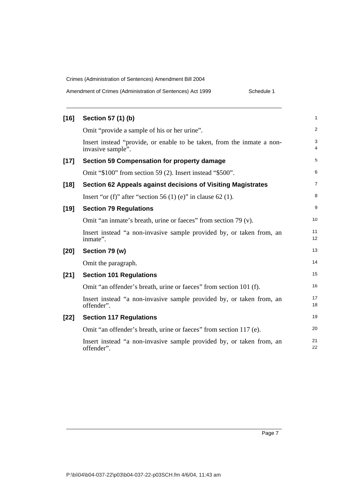|  | Amendment of Crimes (Administration of Sentences) Act 1999 | Schedule 1 |
|--|------------------------------------------------------------|------------|
|--|------------------------------------------------------------|------------|

| $[16]$ | Section 57 (1) (b)                                                                          | 1              |
|--------|---------------------------------------------------------------------------------------------|----------------|
|        | Omit "provide a sample of his or her urine".                                                | $\overline{2}$ |
|        | Insert instead "provide, or enable to be taken, from the inmate a non-<br>invasive sample". | 3<br>4         |
| $[17]$ | Section 59 Compensation for property damage                                                 | 5              |
|        | Omit "\$100" from section 59 (2). Insert instead "\$500".                                   | 6              |
| $[18]$ | Section 62 Appeals against decisions of Visiting Magistrates                                | 7              |
|        | Insert "or (f)" after "section 56 (1) (e)" in clause 62 (1).                                | 8              |
| $[19]$ | <b>Section 79 Regulations</b>                                                               | 9              |
|        | Omit "an inmate's breath, urine or faeces" from section 79 (v).                             | 10             |
|        | Insert instead "a non-invasive sample provided by, or taken from, an<br>inmate".            | 11<br>12       |
| $[20]$ | Section 79 (w)                                                                              | 13             |
|        | Omit the paragraph.                                                                         | 14             |
| $[21]$ | <b>Section 101 Regulations</b>                                                              | 15             |
|        | Omit "an offender's breath, urine or faeces" from section 101 (f).                          | 16             |
|        | Insert instead "a non-invasive sample provided by, or taken from, an<br>offender".          | 17<br>18       |
| $[22]$ | <b>Section 117 Regulations</b>                                                              | 19             |
|        | Omit "an offender's breath, urine or faeces" from section 117 (e).                          | 20             |
|        | Insert instead "a non-invasive sample provided by, or taken from, an<br>offender".          | 21<br>22       |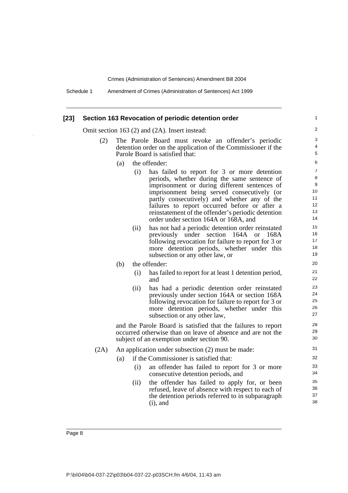Schedule 1 Amendment of Crimes (Administration of Sentences) Act 1999

#### **[23] Section 163 Revocation of periodic detention order**

Omit section 163 (2) and (2A). Insert instead:

- (2) The Parole Board must revoke an offender's periodic detention order on the application of the Commissioner if the Parole Board is satisfied that:
	- (a) the offender:
		- (i) has failed to report for 3 or more detention periods, whether during the same sentence of imprisonment or during different sentences of imprisonment being served consecutively (or partly consecutively) and whether any of the failures to report occurred before or after a reinstatement of the offender's periodic detention order under section 164A or 168A, and

- (ii) has not had a periodic detention order reinstated previously under section 164A or 168A following revocation for failure to report for 3 or more detention periods, whether under this subsection or any other law, or
- (b) the offender:
	- (i) has failed to report for at least 1 detention period, and
	- (ii) has had a periodic detention order reinstated previously under section 164A or section 168A following revocation for failure to report for 3 or more detention periods, whether under this subsection or any other law,

and the Parole Board is satisfied that the failures to report occurred otherwise than on leave of absence and are not the subject of an exemption under section 90.

- (2A) An application under subsection (2) must be made:
	- (a) if the Commissioner is satisfied that:
		- (i) an offender has failed to report for 3 or more consecutive detention periods, and
		- (ii) the offender has failed to apply for, or been refused, leave of absence with respect to each of the detention periods referred to in subparagraph (i), and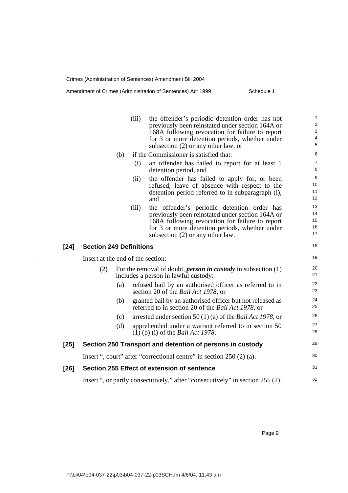#### Amendment of Crimes (Administration of Sentences) Act 1999 Schedule 1

|        |     | (iii)                             | the offender's periodic detention order has not<br>previously been reinstated under section 164A or<br>168A following revocation for failure to report<br>for 3 or more detention periods, whether under<br>subsection $(2)$ or any other law, or | $\mathbf{1}$<br>$\overline{2}$<br>3<br>$\overline{\mathbf{4}}$<br>$\mathbf 5$ |
|--------|-----|-----------------------------------|---------------------------------------------------------------------------------------------------------------------------------------------------------------------------------------------------------------------------------------------------|-------------------------------------------------------------------------------|
|        |     | (b)                               | if the Commissioner is satisfied that:                                                                                                                                                                                                            | 6                                                                             |
|        |     | (i)                               | an offender has failed to report for at least 1<br>detention period, and                                                                                                                                                                          | $\overline{7}$<br>8                                                           |
|        |     | (ii)                              | the offender has failed to apply for, or been<br>refused, leave of absence with respect to the<br>detention period referred to in subparagraph (i),<br>and                                                                                        | $\boldsymbol{9}$<br>10<br>11<br>12                                            |
|        |     | (iii)                             | the offender's periodic detention order has<br>previously been reinstated under section 164A or<br>168A following revocation for failure to report<br>for 3 or more detention periods, whether under<br>subsection $(2)$ or any other law.        | 13<br>14<br>15<br>16<br>17                                                    |
| $[24]$ |     | <b>Section 249 Definitions</b>    |                                                                                                                                                                                                                                                   | 18                                                                            |
|        |     | Insert at the end of the section: |                                                                                                                                                                                                                                                   | 19                                                                            |
|        | (2) |                                   | For the removal of doubt, <i>person in custody</i> in subsection $(1)$<br>includes a person in lawful custody:                                                                                                                                    | 20<br>21                                                                      |
|        |     | (a)                               | refused bail by an authorised officer as referred to in<br>section 20 of the <i>Bail Act 1978</i> , or                                                                                                                                            | 22<br>23                                                                      |
|        |     | (b)                               | granted bail by an authorised officer but not released as<br>referred to in section 20 of the <i>Bail Act 1978</i> , or                                                                                                                           | 24<br>25                                                                      |
|        |     | (c)                               | arrested under section 50 (1) (a) of the <i>Bail Act 1978</i> , or                                                                                                                                                                                | 26                                                                            |
|        |     | (d)                               | apprehended under a warrant referred to in section 50<br>$(1)$ (b) (i) of the <i>Bail Act 1978</i> .                                                                                                                                              | 27<br>28                                                                      |
| $[25]$ |     |                                   | Section 250 Transport and detention of persons in custody                                                                                                                                                                                         | 29                                                                            |
|        |     |                                   | Insert ", court" after "correctional centre" in section 250 (2) (a).                                                                                                                                                                              | 30                                                                            |
| $[26]$ |     |                                   | Section 255 Effect of extension of sentence                                                                                                                                                                                                       | 31                                                                            |
|        |     |                                   | Insert ", or partly consecutively," after "consecutively" in section 255 (2).                                                                                                                                                                     | 32                                                                            |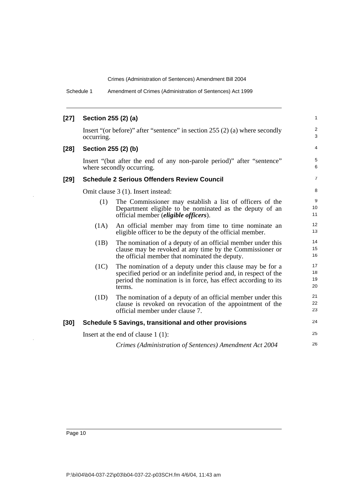Schedule 1 Amendment of Crimes (Administration of Sentences) Act 1999

| $[27]$ | Section 255 (2) (a) |                                                                                                                                                                                                          | 1                            |
|--------|---------------------|----------------------------------------------------------------------------------------------------------------------------------------------------------------------------------------------------------|------------------------------|
|        | occurring.          | Insert "(or before)" after "sentence" in section $255(2)$ (a) where secondly                                                                                                                             | $\overline{\mathbf{c}}$<br>3 |
| $[28]$ | Section 255 (2) (b) |                                                                                                                                                                                                          | 4                            |
|        |                     | Insert "(but after the end of any non-parole period)" after "sentence"<br>where secondly occurring.                                                                                                      | 5<br>6                       |
| $[29]$ |                     | <b>Schedule 2 Serious Offenders Review Council</b>                                                                                                                                                       | 7                            |
|        |                     | Omit clause 3 (1). Insert instead:                                                                                                                                                                       | 8                            |
|        | (1)                 | The Commissioner may establish a list of officers of the<br>Department eligible to be nominated as the deputy of an<br>official member ( <i>eligible officers</i> ).                                     | 9<br>10<br>11                |
|        | (1A)                | An official member may from time to time nominate an<br>eligible officer to be the deputy of the official member.                                                                                        | 12<br>13                     |
|        | (1B)                | The nomination of a deputy of an official member under this<br>clause may be revoked at any time by the Commissioner or<br>the official member that nominated the deputy.                                | 14<br>15<br>16               |
|        | (1C)                | The nomination of a deputy under this clause may be for a<br>specified period or an indefinite period and, in respect of the<br>period the nomination is in force, has effect according to its<br>terms. | 17<br>18<br>19<br>20         |
|        | (1D)                | The nomination of a deputy of an official member under this<br>clause is revoked on revocation of the appointment of the<br>official member under clause 7.                                              | 21<br>22<br>23               |
| $[30]$ |                     | Schedule 5 Savings, transitional and other provisions                                                                                                                                                    | 24                           |
|        |                     | Insert at the end of clause $1(1)$ :                                                                                                                                                                     | 25                           |
|        |                     | Crimes (Administration of Sentences) Amendment Act 2004                                                                                                                                                  | 26                           |

l,

l,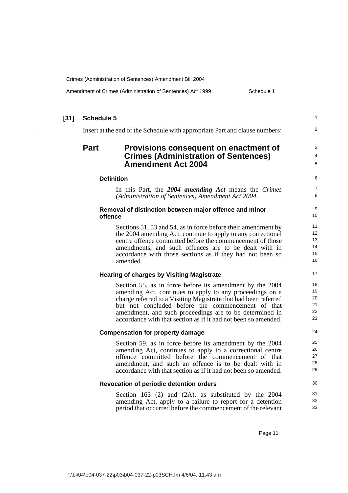| Amendment of Crimes (Administration of Sentences) Act 1999 |  |  |
|------------------------------------------------------------|--|--|
|------------------------------------------------------------|--|--|

Schedule 1

| $[31]$ | <b>Schedule 5</b> |                                                                                                                                                                                                                                                                                                                                                                           | 1                                |
|--------|-------------------|---------------------------------------------------------------------------------------------------------------------------------------------------------------------------------------------------------------------------------------------------------------------------------------------------------------------------------------------------------------------------|----------------------------------|
|        |                   | Insert at the end of the Schedule with appropriate Part and clause numbers:                                                                                                                                                                                                                                                                                               | 2                                |
|        | Part              | Provisions consequent on enactment of<br><b>Crimes (Administration of Sentences)</b><br><b>Amendment Act 2004</b>                                                                                                                                                                                                                                                         | 3<br>4<br>5                      |
|        |                   | <b>Definition</b>                                                                                                                                                                                                                                                                                                                                                         | 6                                |
|        |                   | In this Part, the 2004 amending Act means the Crimes<br>(Administration of Sentences) Amendment Act 2004.                                                                                                                                                                                                                                                                 | 7<br>8                           |
|        |                   | Removal of distinction between major offence and minor<br>offence                                                                                                                                                                                                                                                                                                         | 9<br>10                          |
|        |                   | Sections 51, 53 and 54, as in force before their amendment by<br>the 2004 amending Act, continue to apply to any correctional<br>centre offence committed before the commencement of those<br>amendments, and such offences are to be dealt with in<br>accordance with those sections as if they had not been so<br>amended.                                              | 11<br>12<br>13<br>14<br>15<br>16 |
|        |                   | <b>Hearing of charges by Visiting Magistrate</b>                                                                                                                                                                                                                                                                                                                          | 17                               |
|        |                   | Section 55, as in force before its amendment by the 2004<br>amending Act, continues to apply to any proceedings on a<br>charge referred to a Visiting Magistrate that had been referred<br>but not concluded before the commencement of that<br>amendment, and such proceedings are to be determined in<br>accordance with that section as if it had not been so amended. | 18<br>19<br>20<br>21<br>22<br>23 |
|        |                   | <b>Compensation for property damage</b>                                                                                                                                                                                                                                                                                                                                   | 24                               |
|        |                   | Section 59, as in force before its amendment by the 2004<br>amending Act, continues to apply to a correctional centre<br>offence committed before the commencement of that<br>amendment, and such an offence is to be dealt with in<br>accordance with that section as if it had not been so amended.                                                                     | 25<br>26<br>27<br>28<br>29       |
|        |                   | Revocation of periodic detention orders                                                                                                                                                                                                                                                                                                                                   | 30                               |
|        |                   | Section 163 $(2)$ and $(2A)$ , as substituted by the 2004<br>amending Act, apply to a failure to report for a detention<br>period that occurred before the commencement of the relevant                                                                                                                                                                                   | 31<br>32<br>33                   |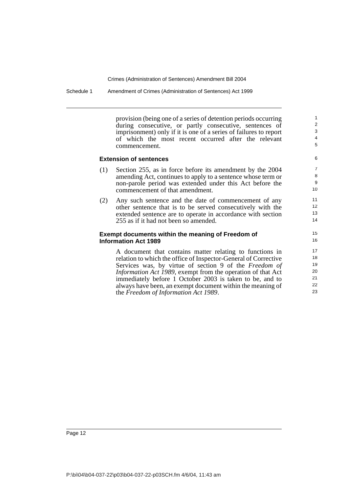Schedule 1 Amendment of Crimes (Administration of Sentences) Act 1999

provision (being one of a series of detention periods occurring during consecutive, or partly consecutive, sentences of imprisonment) only if it is one of a series of failures to report of which the most recent occurred after the relevant commencement.

#### **Extension of sentences**

- (1) Section 255, as in force before its amendment by the 2004 amending Act, continues to apply to a sentence whose term or non-parole period was extended under this Act before the commencement of that amendment.
- (2) Any such sentence and the date of commencement of any other sentence that is to be served consecutively with the extended sentence are to operate in accordance with section 255 as if it had not been so amended.

#### **Exempt documents within the meaning of Freedom of Information Act 1989**

A document that contains matter relating to functions in relation to which the office of Inspector-General of Corrective Services was, by virtue of section 9 of the *Freedom of Information Act 1989*, exempt from the operation of that Act immediately before 1 October 2003 is taken to be, and to always have been, an exempt document within the meaning of the *Freedom of Information Act 1989*.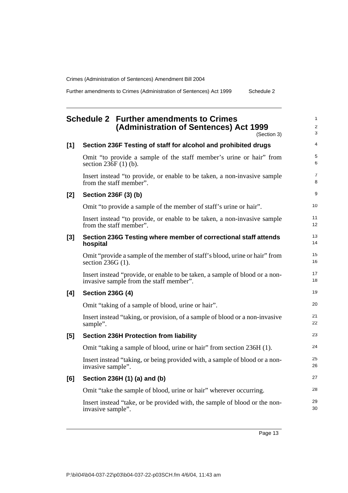Further amendments to Crimes (Administration of Sentences) Act 1999 Schedule 2

|       | <b>Schedule 2 Further amendments to Crimes</b><br>(Administration of Sentences) Act 1999<br>(Section 3)                |
|-------|------------------------------------------------------------------------------------------------------------------------|
| [1]   | Section 236F Testing of staff for alcohol and prohibited drugs                                                         |
|       | Omit "to provide a sample of the staff member's urine or hair" from<br>section $236F(1)$ (b).                          |
|       | Insert instead "to provide, or enable to be taken, a non-invasive sample<br>from the staff member".                    |
| $[2]$ | Section 236F (3) (b)                                                                                                   |
|       | Omit "to provide a sample of the member of staff's urine or hair".                                                     |
|       | Insert instead "to provide, or enable to be taken, a non-invasive sample<br>from the staff member".                    |
| $[3]$ | Section 236G Testing where member of correctional staff attends<br>hospital                                            |
|       | Omit "provide a sample of the member of staff's blood, urine or hair" from<br>section $236G(1)$ .                      |
|       | Insert instead "provide, or enable to be taken, a sample of blood or a non-<br>invasive sample from the staff member". |
| [4]   | <b>Section 236G (4)</b>                                                                                                |
|       | Omit "taking of a sample of blood, urine or hair".                                                                     |
|       | Insert instead "taking, or provision, of a sample of blood or a non-invasive<br>sample".                               |
| $[5]$ | <b>Section 236H Protection from liability</b>                                                                          |
|       | Omit "taking a sample of blood, urine or hair" from section 236H (1).                                                  |
|       | Insert instead "taking, or being provided with, a sample of blood or a non-<br>invasive sample".                       |
| [6]   | Section 236H (1) (a) and (b)                                                                                           |
|       | Omit "take the sample of blood, urine or hair" wherever occurring.                                                     |
|       | Insert instead "take, or be provided with, the sample of blood or the non-<br>invasive sample".                        |
|       |                                                                                                                        |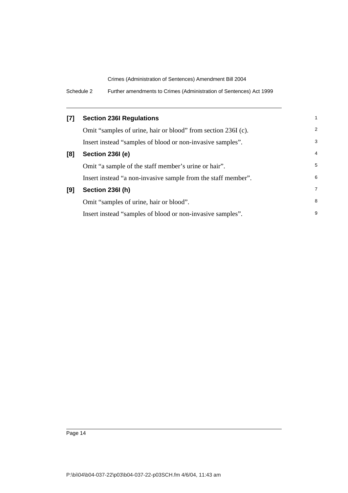Schedule 2 Further amendments to Crimes (Administration of Sentences) Act 1999

| $[7]$ | <b>Section 236I Regulations</b>                               | 1              |
|-------|---------------------------------------------------------------|----------------|
|       | Omit "samples of urine, hair or blood" from section 236I (c). | 2              |
|       | Insert instead "samples of blood or non-invasive samples".    | 3              |
| [8]   | Section 236I (e)                                              | $\overline{4}$ |
|       | Omit "a sample of the staff member's urine or hair".          | 5              |
|       | Insert instead "a non-invasive sample from the staff member". | 6              |
| [9]   | Section 236I (h)                                              | $\overline{7}$ |
|       | Omit "samples of urine, hair or blood".                       | 8              |
|       | Insert instead "samples of blood or non-invasive samples".    | 9              |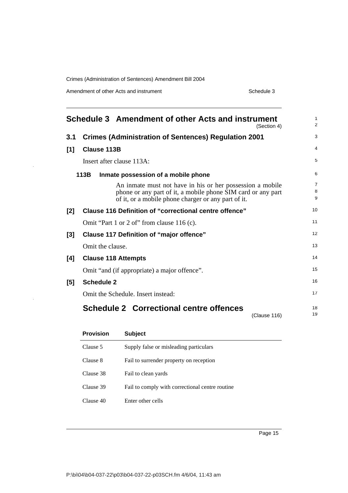Amendment of other Acts and instrument Schedule 3

 $\bar{\mathcal{A}}$ 

 $\hat{\mathcal{F}}$ 

|       | Schedule 3 Amendment of other Acts and instrument<br>(Section 4)                                                                                                                 | 1<br>$\overline{2}$ |
|-------|----------------------------------------------------------------------------------------------------------------------------------------------------------------------------------|---------------------|
| 3.1   | <b>Crimes (Administration of Sentences) Regulation 2001</b>                                                                                                                      | 3                   |
| [1]   | <b>Clause 113B</b>                                                                                                                                                               | 4                   |
|       | Insert after clause 113A:                                                                                                                                                        | 5                   |
|       | 113B<br>Inmate possession of a mobile phone                                                                                                                                      | 6                   |
|       | An inmate must not have in his or her possession a mobile<br>phone or any part of it, a mobile phone SIM card or any part<br>of it, or a mobile phone charger or any part of it. | 7<br>8<br>9         |
| [2]   | <b>Clause 116 Definition of "correctional centre offence"</b>                                                                                                                    | 10                  |
|       | Omit "Part 1 or 2 of" from clause $116$ (c).                                                                                                                                     | 11                  |
| $[3]$ | <b>Clause 117 Definition of "major offence"</b>                                                                                                                                  | 12                  |
|       | Omit the clause.                                                                                                                                                                 | 13                  |
| [4]   | <b>Clause 118 Attempts</b>                                                                                                                                                       | 14                  |
|       | Omit "and (if appropriate) a major offence".                                                                                                                                     | 15                  |
| [5]   | <b>Schedule 2</b>                                                                                                                                                                | 16                  |
|       | Omit the Schedule. Insert instead:                                                                                                                                               | 17                  |
|       | <b>Schedule 2 Correctional centre offences</b><br>(Clause 116)                                                                                                                   | 18<br>19            |

| <b>Provision</b> | <b>Subject</b>                                  |
|------------------|-------------------------------------------------|
| Clause 5         | Supply false or misleading particulars          |
| Clause 8         | Fail to surrender property on reception         |
| Clause 38        | Fail to clean yards                             |
| Clause 39        | Fail to comply with correctional centre routine |
| Clause 40        | Enter other cells                               |
|                  |                                                 |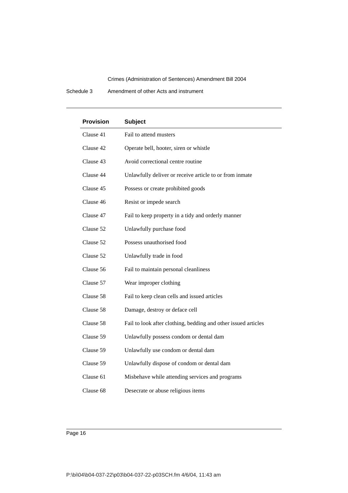Schedule 3 Amendment of other Acts and instrument

| <b>Provision</b> | <b>Subject</b>                                                 |
|------------------|----------------------------------------------------------------|
| Clause 41        | Fail to attend musters                                         |
| Clause 42        | Operate bell, hooter, siren or whistle                         |
| Clause 43        | Avoid correctional centre routine                              |
| Clause 44        | Unlawfully deliver or receive article to or from inmate        |
| Clause 45        | Possess or create prohibited goods                             |
| Clause 46        | Resist or impede search                                        |
| Clause 47        | Fail to keep property in a tidy and orderly manner             |
| Clause 52        | Unlawfully purchase food                                       |
| Clause 52        | Possess unauthorised food                                      |
| Clause 52        | Unlawfully trade in food                                       |
| Clause 56        | Fail to maintain personal cleanliness                          |
| Clause 57        | Wear improper clothing                                         |
| Clause 58        | Fail to keep clean cells and issued articles                   |
| Clause 58        | Damage, destroy or deface cell                                 |
| Clause 58        | Fail to look after clothing, bedding and other issued articles |
| Clause 59        | Unlawfully possess condom or dental dam                        |
| Clause 59        | Unlawfully use condom or dental dam                            |
| Clause 59        | Unlawfully dispose of condom or dental dam                     |
| Clause 61        | Misbehave while attending services and programs                |
| Clause 68        | Desecrate or abuse religious items                             |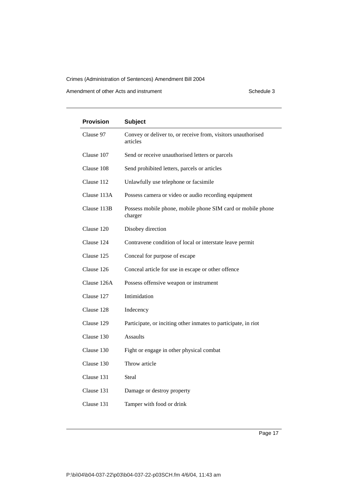Amendment of other Acts and instrument Schedule 3

| <b>Provision</b> | <b>Subject</b>                                                           |
|------------------|--------------------------------------------------------------------------|
| Clause 97        | Convey or deliver to, or receive from, visitors unauthorised<br>articles |
| Clause 107       | Send or receive unauthorised letters or parcels                          |
| Clause 108       | Send prohibited letters, parcels or articles                             |
| Clause 112       | Unlawfully use telephone or facsimile                                    |
| Clause 113A      | Possess camera or video or audio recording equipment                     |
| Clause 113B      | Possess mobile phone, mobile phone SIM card or mobile phone<br>charger   |
| Clause 120       | Disobey direction                                                        |
| Clause 124       | Contravene condition of local or interstate leave permit                 |
| Clause 125       | Conceal for purpose of escape                                            |
| Clause 126       | Conceal article for use in escape or other offence                       |
| Clause 126A      | Possess offensive weapon or instrument                                   |
| Clause 127       | Intimidation                                                             |
| Clause 128       | Indecency                                                                |
| Clause 129       | Participate, or inciting other inmates to participate, in riot           |
| Clause 130       | <b>Assaults</b>                                                          |
| Clause 130       | Fight or engage in other physical combat                                 |
| Clause 130       | Throw article                                                            |
| Clause 131       | Steal                                                                    |
| Clause 131       | Damage or destroy property                                               |
| Clause 131       | Tamper with food or drink                                                |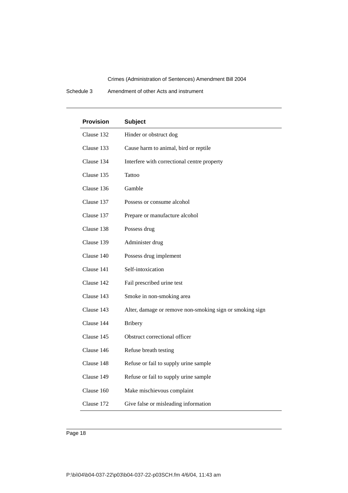Schedule 3 Amendment of other Acts and instrument

| <b>Provision</b> | <b>Subject</b>                                           |
|------------------|----------------------------------------------------------|
| Clause 132       | Hinder or obstruct dog                                   |
| Clause 133       | Cause harm to animal, bird or reptile                    |
| Clause 134       | Interfere with correctional centre property              |
| Clause 135       | Tattoo                                                   |
| Clause 136       | Gamble                                                   |
| Clause 137       | Possess or consume alcohol                               |
| Clause 137       | Prepare or manufacture alcohol                           |
| Clause 138       | Possess drug                                             |
| Clause 139       | Administer drug                                          |
| Clause 140       | Possess drug implement                                   |
| Clause 141       | Self-intoxication                                        |
| Clause 142       | Fail prescribed urine test                               |
| Clause 143       | Smoke in non-smoking area                                |
| Clause 143       | Alter, damage or remove non-smoking sign or smoking sign |
| Clause 144       | <b>Bribery</b>                                           |
| Clause 145       | Obstruct correctional officer                            |
| Clause 146       | Refuse breath testing                                    |
| Clause 148       | Refuse or fail to supply urine sample                    |
| Clause 149       | Refuse or fail to supply urine sample                    |
| Clause 160       | Make mischievous complaint                               |
| Clause 172       | Give false or misleading information                     |

J.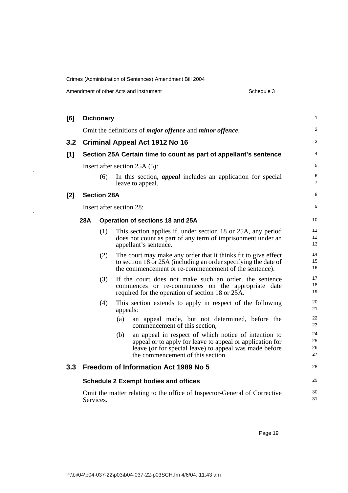| [6] |            | <b>Dictionary</b>  |                                                                                                                                                                                                                         | 1                    |
|-----|------------|--------------------|-------------------------------------------------------------------------------------------------------------------------------------------------------------------------------------------------------------------------|----------------------|
|     |            |                    | Omit the definitions of <i>major offence</i> and <i>minor offence</i> .                                                                                                                                                 | $\overline{2}$       |
| 3.2 |            |                    | <b>Criminal Appeal Act 1912 No 16</b>                                                                                                                                                                                   | 3                    |
| [1] |            |                    | Section 25A Certain time to count as part of appellant's sentence                                                                                                                                                       | 4                    |
|     |            |                    | Insert after section $25A(5)$ :                                                                                                                                                                                         | 5                    |
|     |            | (6)                | In this section, <i>appeal</i> includes an application for special<br>leave to appeal.                                                                                                                                  | 6<br>$\overline{7}$  |
| [2] |            | <b>Section 28A</b> |                                                                                                                                                                                                                         | 8                    |
|     |            |                    | Insert after section 28:                                                                                                                                                                                                | 9                    |
|     | <b>28A</b> |                    | Operation of sections 18 and 25A                                                                                                                                                                                        | 10                   |
|     |            | (1)                | This section applies if, under section 18 or 25A, any period<br>does not count as part of any term of imprisonment under an<br>appellant's sentence.                                                                    | 11<br>12<br>13       |
|     |            | (2)                | The court may make any order that it thinks fit to give effect<br>to section 18 or 25A (including an order specifying the date of<br>the commencement or re-commencement of the sentence).                              | 14<br>15<br>16       |
|     |            | (3)                | If the court does not make such an order, the sentence<br>commences or re-commences on the appropriate date<br>required for the operation of section 18 or 25A.                                                         | 17<br>18<br>19       |
|     |            | (4)                | This section extends to apply in respect of the following<br>appeals:                                                                                                                                                   | 20<br>21             |
|     |            |                    | an appeal made, but not determined, before the<br>(a)<br>commencement of this section,                                                                                                                                  | 22<br>23             |
|     |            |                    | an appeal in respect of which notice of intention to<br>(b)<br>appeal or to apply for leave to appeal or application for<br>leave (or for special leave) to appeal was made before<br>the commencement of this section. | 24<br>25<br>26<br>27 |
| 3.3 |            |                    | Freedom of Information Act 1989 No 5                                                                                                                                                                                    | 28                   |
|     |            |                    | <b>Schedule 2 Exempt bodies and offices</b>                                                                                                                                                                             | 29                   |
|     |            | Services.          | Omit the matter relating to the office of Inspector-General of Corrective                                                                                                                                               | 30<br>31             |